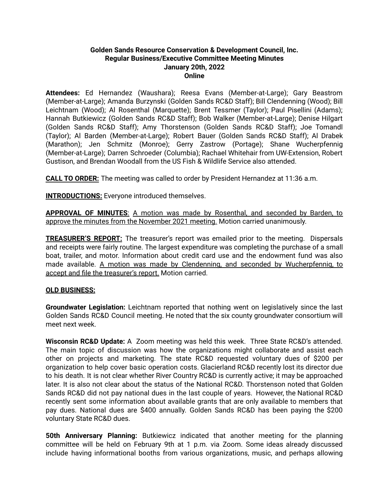## **Golden Sands Resource Conservation & Development Council, Inc. Regular Business/Executive Committee Meeting Minutes January 20th, 2022 Online**

**Attendees:** Ed Hernandez (Waushara); Reesa Evans (Member-at-Large); Gary Beastrom (Member-at-Large); Amanda Burzynski (Golden Sands RC&D Staff); Bill Clendenning (Wood); Bill Leichtnam (Wood); Al Rosenthal (Marquette); Brent Tessmer (Taylor); Paul Pisellini (Adams); Hannah Butkiewicz (Golden Sands RC&D Staff); Bob Walker (Member-at-Large); Denise Hilgart (Golden Sands RC&D Staff); Amy Thorstenson (Golden Sands RC&D Staff); Joe Tomandl (Taylor); Al Barden (Member-at-Large); Robert Bauer (Golden Sands RC&D Staff); Al Drabek (Marathon); Jen Schmitz (Monroe); Gerry Zastrow (Portage); Shane Wucherpfennig (Member-at-Large); Darren Schroeder (Columbia); Rachael Whitehair from UW-Extension, Robert Gustison, and Brendan Woodall from the US Fish & Wildlife Service also attended.

**CALL TO ORDER:** The meeting was called to order by President Hernandez at 11:36 a.m.

**INTRODUCTIONS:** Everyone introduced themselves.

**APPROVAL OF MINUTES**: A motion was made by Rosenthal, and seconded by Barden, to approve the minutes from the November 2021 meeting. Motion carried unanimously.

**TREASURER'S REPORT:** The treasurer's report was emailed prior to the meeting. Dispersals and receipts were fairly routine. The largest expenditure was completing the purchase of a small boat, trailer, and motor. Information about credit card use and the endowment fund was also made available. A motion was made by Clendenning, and seconded by Wucherpfennig, to accept and file the treasurer's report. Motion carried.

## **OLD BUSINESS:**

**Groundwater Legislation:** Leichtnam reported that nothing went on legislatively since the last Golden Sands RC&D Council meeting. He noted that the six county groundwater consortium will meet next week.

**Wisconsin RC&D Update:** A Zoom meeting was held this week. Three State RC&D's attended. The main topic of discussion was how the organizations might collaborate and assist each other on projects and marketing. The state RC&D requested voluntary dues of \$200 per organization to help cover basic operation costs. Glacierland RC&D recently lost its director due to his death. It is not clear whether River Country RC&D is currently active; it may be approached later. It is also not clear about the status of the National RC&D. Thorstenson noted that Golden Sands RC&D did not pay national dues in the last couple of years. However, the National RC&D recently sent some information about available grants that are only available to members that pay dues. National dues are \$400 annually. Golden Sands RC&D has been paying the \$200 voluntary State RC&D dues.

**50th Anniversary Planning:** Butkiewicz indicated that another meeting for the planning committee will be held on February 9th at 1 p.m. via Zoom. Some ideas already discussed include having informational booths from various organizations, music, and perhaps allowing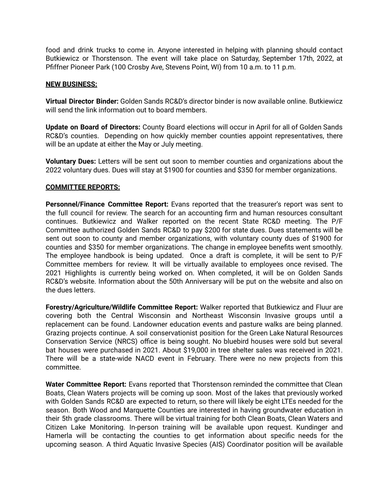food and drink trucks to come in. Anyone interested in helping with planning should contact Butkiewicz or Thorstenson. The event will take place on Saturday, September 17th, 2022, at Pfiffner Pioneer Park (100 Crosby Ave, Stevens Point, WI) from 10 a.m. to 11 p.m.

### **NEW BUSINESS:**

**Virtual Director Binder:** Golden Sands RC&D's director binder is now available online. Butkiewicz will send the link information out to board members.

**Update on Board of Directors:** County Board elections will occur in April for all of Golden Sands RC&D's counties. Depending on how quickly member counties appoint representatives, there will be an update at either the May or July meeting.

**Voluntary Dues:** Letters will be sent out soon to member counties and organizations about the 2022 voluntary dues. Dues will stay at \$1900 for counties and \$350 for member organizations.

#### **COMMITTEE REPORTS:**

**Personnel/Finance Committee Report:** Evans reported that the treasurer's report was sent to the full council for review. The search for an accounting firm and human resources consultant continues. Butkiewicz and Walker reported on the recent State RC&D meeting. The P/F Committee authorized Golden Sands RC&D to pay \$200 for state dues. Dues statements will be sent out soon to county and member organizations, with voluntary county dues of \$1900 for counties and \$350 for member organizations. The change in employee benefits went smoothly. The employee handbook is being updated. Once a draft is complete, it will be sent to P/F Committee members for review. It will be virtually available to employees once revised. The 2021 Highlights is currently being worked on. When completed, it will be on Golden Sands RC&D's website. Information about the 50th Anniversary will be put on the website and also on the dues letters.

**Forestry/Agriculture/Wildlife Committee Report:** Walker reported that Butkiewicz and Fluur are covering both the Central Wisconsin and Northeast Wisconsin Invasive groups until a replacement can be found. Landowner education events and pasture walks are being planned. Grazing projects continue. A soil conservationist position for the Green Lake Natural Resources Conservation Service (NRCS) office is being sought. No bluebird houses were sold but several bat houses were purchased in 2021. About \$19,000 in tree shelter sales was received in 2021. There will be a state-wide NACD event in February. There were no new projects from this committee.

**Water Committee Report:** Evans reported that Thorstenson reminded the committee that Clean Boats, Clean Waters projects will be coming up soon. Most of the lakes that previously worked with Golden Sands RC&D are expected to return, so there will likely be eight LTEs needed for the season. Both Wood and Marquette Counties are interested in having groundwater education in their 5th grade classrooms. There will be virtual training for both Clean Boats, Clean Waters and Citizen Lake Monitoring. In-person training will be available upon request. Kundinger and Hamerla will be contacting the counties to get information about specific needs for the upcoming season. A third Aquatic Invasive Species (AIS) Coordinator position will be available